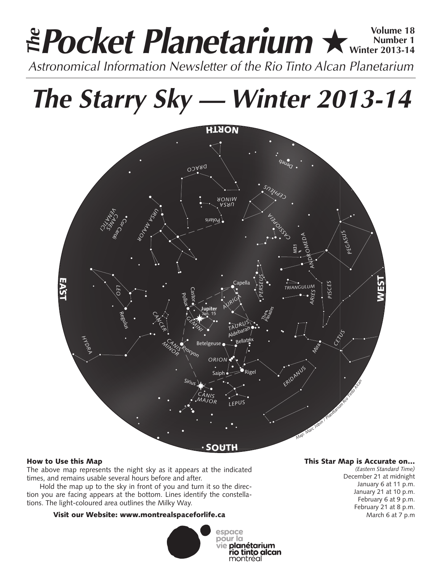# **Pocket Planetarium ★** Wolume 18 **Number 1 Winter 2013-14 EPocket Planetarium**  $\star$  Number 1<br>Astronomical Information Newsletter of the Rio Tinto Alcan Planetarium

# **The Starry Sky — Winter 2013-14**



## How to Use this Map

The above map represents the night sky as it appears at the indicated times, and remains usable several hours before and after.

Hold the map up to the sky in front of you and turn it so the direction you are facing appears at the bottom. Lines identify the constellations. The light-coloured area outlines the Milky Way.

## Visit our Website: www.montrealspaceforlife.ca



### This Star Map is Accurate on…

*(Eastern Standard Time)* December 21 at midnight January 6 at 11 p.m. January 21 at 10 p.m. February 6 at 9 p.m. February 21 at 8 p.m. March 6 at 7 p.m